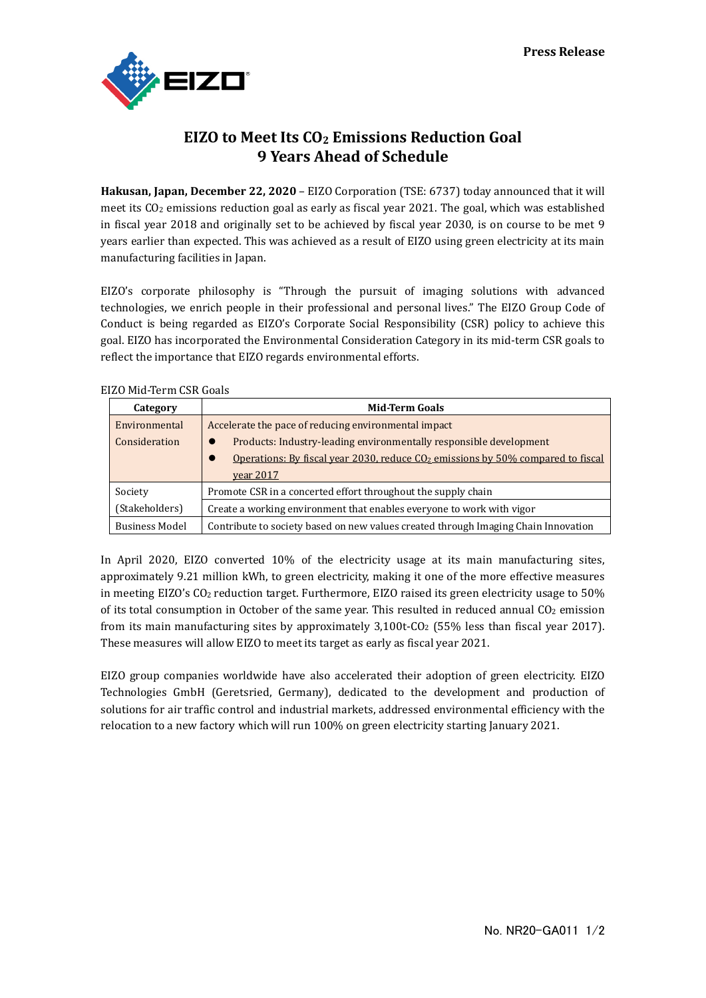

# **EIZO to Meet Its CO2 Emissions Reduction Goal 9 Years Ahead of Schedule**

**Hakusan, Japan, December 22, 2020** – EIZO Corporation (TSE: 6737) today announced that it will meet its CO2 emissions reduction goal as early as fiscal year 2021. The goal, which was established in fiscal year 2018 and originally set to be achieved by fiscal year 2030, is on course to be met 9 years earlier than expected. This was achieved as a result of EIZO using green electricity at its main manufacturing facilities in Japan.

EIZO's corporate philosophy is "Through the pursuit of imaging solutions with advanced technologies, we enrich people in their professional and personal lives." The EIZO Group Code of Conduct is being regarded as EIZO's Corporate Social Responsibility (CSR) policy to achieve this goal. EIZO has incorporated the Environmental Consideration Category in its mid-term CSR goals to reflect the importance that EIZO regards environmental efforts.

| Category              | <b>Mid-Term Goals</b>                                                              |
|-----------------------|------------------------------------------------------------------------------------|
| Environmental         | Accelerate the pace of reducing environmental impact                               |
| Consideration         | Products: Industry-leading environmentally responsible development<br>$\bullet$    |
|                       | Operations: By fiscal year 2030, reduce $CO2$ emissions by 50% compared to fiscal  |
|                       | <u>year 2017</u>                                                                   |
| Society               | Promote CSR in a concerted effort throughout the supply chain                      |
| (Stakeholders)        | Create a working environment that enables everyone to work with vigor              |
| <b>Business Model</b> | Contribute to society based on new values created through Imaging Chain Innovation |

## EIZO Mid-Term CSR Goals

In April 2020, EIZO converted 10% of the electricity usage at its main manufacturing sites, approximately 9.21 million kWh, to green electricity, making it one of the more effective measures in meeting EIZO's CO<sub>2</sub> reduction target. Furthermore, EIZO raised its green electricity usage to 50% of its total consumption in October of the same year. This resulted in reduced annual CO<sub>2</sub> emission from its main manufacturing sites by approximately  $3,100t$ -CO<sub>2</sub> (55% less than fiscal year 2017). These measures will allow EIZO to meet its target as early as fiscal year 2021.

EIZO group companies worldwide have also accelerated their adoption of green electricity. EIZO Technologies GmbH (Geretsried, Germany), dedicated to the development and production of solutions for air traffic control and industrial markets, addressed environmental efficiency with the relocation to a new factory which will run 100% on green electricity starting January 2021.